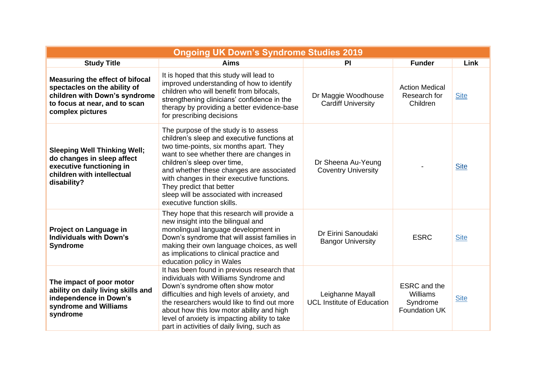| <b>Ongoing UK Down's Syndrome Studies 2019</b>                                                                                                               |                                                                                                                                                                                                                                                                                                                                                                                                           |                                                       |                                                                     |             |  |  |
|--------------------------------------------------------------------------------------------------------------------------------------------------------------|-----------------------------------------------------------------------------------------------------------------------------------------------------------------------------------------------------------------------------------------------------------------------------------------------------------------------------------------------------------------------------------------------------------|-------------------------------------------------------|---------------------------------------------------------------------|-------------|--|--|
| <b>Study Title</b>                                                                                                                                           | <b>Aims</b>                                                                                                                                                                                                                                                                                                                                                                                               | <b>PI</b>                                             | <b>Funder</b>                                                       | Link        |  |  |
| <b>Measuring the effect of bifocal</b><br>spectacles on the ability of<br>children with Down's syndrome<br>to focus at near, and to scan<br>complex pictures | It is hoped that this study will lead to<br>improved understanding of how to identify<br>children who will benefit from bifocals,<br>strengthening clinicians' confidence in the<br>therapy by providing a better evidence-base<br>for prescribing decisions                                                                                                                                              | Dr Maggie Woodhouse<br><b>Cardiff University</b>      | <b>Action Medical</b><br>Research for<br>Children                   | <b>Site</b> |  |  |
| <b>Sleeping Well Thinking Well;</b><br>do changes in sleep affect<br>executive functioning in<br>children with intellectual<br>disability?                   | The purpose of the study is to assess<br>children's sleep and executive functions at<br>two time-points, six months apart. They<br>want to see whether there are changes in<br>children's sleep over time,<br>and whether these changes are associated<br>with changes in their executive functions.<br>They predict that better<br>sleep will be associated with increased<br>executive function skills. | Dr Sheena Au-Yeung<br><b>Coventry University</b>      |                                                                     | <b>Site</b> |  |  |
| Project on Language in<br><b>Individuals with Down's</b><br><b>Syndrome</b>                                                                                  | They hope that this research will provide a<br>new insight into the bilingual and<br>monolingual language development in<br>Down's syndrome that will assist families in<br>making their own language choices, as well<br>as implications to clinical practice and<br>education policy in Wales                                                                                                           | Dr Eirini Sanoudaki<br><b>Bangor University</b>       | <b>ESRC</b>                                                         | <b>Site</b> |  |  |
| The impact of poor motor<br>ability on daily living skills and<br>independence in Down's<br>syndrome and Williams<br>syndrome                                | It has been found in previous research that<br>individuals with Williams Syndrome and<br>Down's syndrome often show motor<br>difficulties and high levels of anxiety, and<br>the researchers would like to find out more<br>about how this low motor ability and high<br>level of anxiety is impacting ability to take<br>part in activities of daily living, such as                                     | Leighanne Mayall<br><b>UCL Institute of Education</b> | <b>ESRC</b> and the<br>Williams<br>Syndrome<br><b>Foundation UK</b> | <b>Site</b> |  |  |